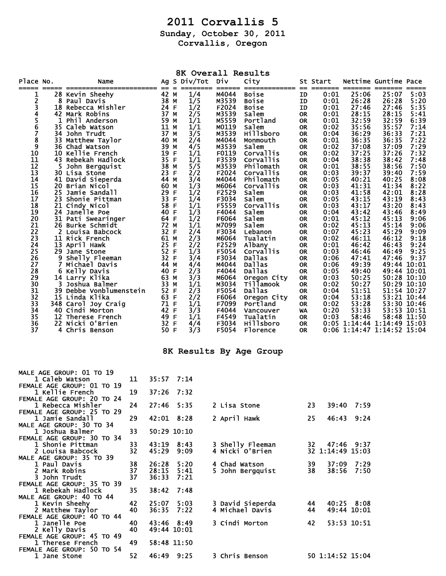## **2011 Corvallis 5**

**Sunday, October 30, 2011** 

**Corvallis, Oregon** 

| Ag S Div/Tot Div<br>City<br>Place No.<br>Nettime Guntime Pace<br>St Start<br>Name<br>======<br>$=$<br>==== =======<br>== ========<br>- 22<br>42 M<br>1/4<br><b>Boise</b><br>25:06<br>5:03<br>28 Kevin Sheehy<br>M4044<br>0:01<br>25:07<br>1<br>ID<br>2<br>38 M<br>1/5<br>M3539<br>0:01<br>26:28<br>26:28<br>5:20<br>8 Paul Davis<br><b>Boise</b><br>ID<br>3<br>24 F<br>F2024<br>27:46<br>5:35<br>18 Rebecca Mishler<br>1/2<br>0:01<br>27:46<br>ID<br><b>Boise</b><br>4<br>M3539<br>37 M<br>2/5<br>0:01<br>28:15<br>28:15<br>5:41<br>42 Mark Robins<br>Salem<br><b>OR</b><br>5<br>32:59<br>32:59<br>59 M<br>M5559<br>6:39<br>1<br>Phil Anderson<br>1/1<br>0:01<br>Portland<br><b>OR</b><br>$\bar{6}$<br>11 M<br>1/1<br>M0119<br>0:02<br>35:56<br>35:57<br>7:14<br>35 Caleb Watson<br>Salem<br><b>OR</b><br>7<br>36:33<br>37 M<br>3/5<br>M3539<br>36:29<br>7:21<br>34 John Trudt<br><b>Hillsboro</b><br>0:04<br><b>OR</b><br>8<br>36:35<br>7:22<br>M4044<br>0:01<br>36:35<br>33 Matthew Taylor<br>40 M<br>2/4<br><b>OR</b><br>Monmouth<br>9<br>7:29<br>39 M<br>M3539<br>37:08<br>37:09<br>4/5<br>Salem<br>0:02<br>36 Chad Watson<br><b>OR</b><br>10<br>19 F<br>F0119<br>0:02<br>37:25<br>37:26<br>7:32<br>10 Kellie French<br>1/1<br>Corvallis<br><b>OR</b><br>$\overline{11}$<br>F3539<br>35 F<br>38:38<br>38:42<br>7:48<br>43 Rebekah Hadlock<br>1/1<br>Corvallis<br>0:04<br><b>OR</b><br>12<br>38:55<br>38 M<br>5/5<br>M3539<br>Philomath<br>0:01<br>38:56<br>7:50<br>5.<br><b>OR</b><br>John Bergquist<br>13<br>23 F<br>F2024<br>39:37<br>39:40<br>7:59<br>2/2<br>Corvallis<br>0:03<br>30 Lisa Stone<br><b>OR</b><br>14<br>3/4<br>M4044<br>Philomath<br>0:05<br>40:21<br>40:25<br>41 David Sieperda<br>44 M<br>8:08<br><b>OR</b><br>15<br>M6064<br>41:31<br>41:34<br>8:22<br>60 M<br>1/3<br>Corvallis<br>0:03<br>20 Brian Nicol<br><b>OR</b><br>16<br>41:58<br>25 Jamie Sandall<br>29 F<br>F2529<br>0:03<br>42:01<br>8:28<br>1/2<br>Salem<br><b>OR</b><br>17<br>33 F<br>F3034<br>43:15<br>43:19<br>8:43<br>23 Shonie Pittman<br>1/4<br>Salem<br>0:05<br><b>OR</b><br>18<br>58 F<br>F5559<br>Corvallis<br>43:17<br>43:20<br>21 Cindy Nicol<br>1/1<br>0:03<br>8:43<br>0R<br>19<br>40 F<br>F4044<br>43:42<br>43:46<br>24 Janelle Poe<br>1/3<br>0:04<br>8:49<br>Salem<br><b>OR</b><br>20<br>64 F<br>F6064<br>45:12<br>45:13<br>31 Pati Swearinger<br>1/2<br>Salem<br>0:01<br>9:06<br>0R<br>21<br>72 M<br>M7099<br>45:13<br>45:14<br>1/1<br>0:02<br>9:06<br>26 Burke Schmidt<br>Salem<br><b>OR</b><br>22<br>32 F<br>2/4<br>F3034<br>0:07<br>45:23<br>45:29<br>9:09<br>2 Louisa Babcock<br>Lebanon<br>0R<br>23<br>61 M<br>2/3<br>M6064<br>46:11<br>46:12<br>9:18<br>0:02<br>11 Rick French<br>Tualatin<br><b>OR</b><br>24<br>25 F<br>2/2<br>F2529<br>9:24<br>13 April Hawk<br>Albany<br>0:01<br>46:42<br>46:43<br>0R<br>52 F<br>25<br>F5054<br>9:25<br>1/3<br>Corvallis<br>0:03<br>46:46<br>46:49<br>29 Jane Stone<br><b>OR</b><br>26<br>9 Shelly Fleeman<br>32 F<br>3/4<br>F3034<br>9:37<br><b>Dallas</b><br>0:06<br>47:41<br>47:46<br>0R<br>27<br>44 M<br>M4044<br>49:39<br>49:44 10:01<br>7<br>4/4<br>Dallas<br>0:06<br>Michael Davis<br><b>OR</b><br>28<br>40 F<br>2/3<br>F4044<br>Dallas<br>0:05<br>49:44 10:01<br>6 Kelly Davis<br>49:40<br>0R<br>29<br>63 M<br>3/3<br>50:25<br>50:28 10:10<br>14 Larry Klika<br>M6064<br>0:03<br>Oregon City<br><b>OR</b><br>50:29 10:10<br>30<br>33 M<br>1/1<br>M3034<br>50:27<br>3<br>Tillamook<br>0:02<br>Joshua Balmer<br><b>OR</b><br>31<br>52 F<br>2/3<br>F5054<br>51:51<br>51:54 10:27<br>39 Debbe Vonblumenstein<br>Dallas<br>0:04<br><b>OR</b><br>63 F<br>53:18<br>53:21 10:44<br>32<br>2/2<br>F6064<br>15 Linda Klika<br>0:04<br>Oregon City<br>0R<br>33<br>71 F<br>F7099<br>53:28<br>53:30 10:46<br>1/1<br>0:02<br>348 Carol Joy Craig<br>Portland<br><b>OR</b><br>53:53 10:51<br>34<br>42 F<br>3/3<br>F4044<br>0:20<br>53:33<br>40 Cindi Morton<br>Vancouver<br>WA<br>35<br>49 F<br>F4549<br>58:48 11:50<br>0:03<br>58:46<br>12 Therese French<br>1/1<br>Tualatin<br><b>OR</b><br>36<br>32 F<br>F3034<br>0:05 1:14:44 1:14:49 15:03<br>22 Nicki O'Brien<br><b>Hillsboro</b><br>4/4<br>OR.<br>37<br>50 F<br>0:06 1:14:47 1:14:52 15:04<br>3/3<br>F5054<br>4 Chris Benson<br>Florence<br><b>OR</b><br>8K Results By Age Group<br>MALE AGE GROUP: 01 TO 19<br>1 Caleb Watson<br>11<br>35:57 7:14<br>FEMALE AGE GROUP: 01 TO 19<br>19<br>1 Kellie French<br>37:26 7:32<br>FEMALE AGE GROUP: 20 TO 24<br>1 Rebecca Mishler<br>24<br>27:46 5:35<br>2 Lisa Stone<br>39:40 7:59<br>23<br>FEMALE AGE GROUP: 25 TO 29<br>29<br>42:01 8:28<br>1 Jamie Sandall<br>2 April Hawk<br>25<br>46:43 9:24<br>MALE AGE GROUP: 30 TO 34<br>50:29 10:10<br>1 Joshua Balmer<br>33<br>FEMALE AGE GROUP: 30 TO 34<br>43:19 8:43<br>1 Shonie Pittman<br>33<br>3 Shelly Fleeman<br>32 47:46 9:37<br>45:29 9:09<br>4 Nicki O'Brien<br>32 1:14:49 15:03<br>2 Louisa Babcock<br>32<br>MALE AGE GROUP: 35 TO 39<br>38<br>26:28 5:20<br>1 Paul Davis<br>4 Chad Watson<br>39<br>37:09 7:29<br>28:15<br>2 Mark Robins<br>37<br>5:41<br>5 John Bergquist<br>38<br>38:56 7:50<br>3 John Trudt<br>37<br>36:33<br>7:21<br>FEMALE AGE GROUP: 35 TO 39<br>38:42<br>1 Rebekah Hadlock<br>35<br>7:48<br>MALE AGE GROUP: 40 TO 44<br>1 Kevin Sheehy<br>42<br>25:07 5:03<br>3 David Sieperda<br>44 40:25 8:08<br>36:35 7:22<br>4 Michael Davis<br>49:44 10:01<br>2 Matthew Taylor<br>44 | 8K Overall Results |  |  |    |  |  |  |  |  |  |  |  |  |
|--------------------------------------------------------------------------------------------------------------------------------------------------------------------------------------------------------------------------------------------------------------------------------------------------------------------------------------------------------------------------------------------------------------------------------------------------------------------------------------------------------------------------------------------------------------------------------------------------------------------------------------------------------------------------------------------------------------------------------------------------------------------------------------------------------------------------------------------------------------------------------------------------------------------------------------------------------------------------------------------------------------------------------------------------------------------------------------------------------------------------------------------------------------------------------------------------------------------------------------------------------------------------------------------------------------------------------------------------------------------------------------------------------------------------------------------------------------------------------------------------------------------------------------------------------------------------------------------------------------------------------------------------------------------------------------------------------------------------------------------------------------------------------------------------------------------------------------------------------------------------------------------------------------------------------------------------------------------------------------------------------------------------------------------------------------------------------------------------------------------------------------------------------------------------------------------------------------------------------------------------------------------------------------------------------------------------------------------------------------------------------------------------------------------------------------------------------------------------------------------------------------------------------------------------------------------------------------------------------------------------------------------------------------------------------------------------------------------------------------------------------------------------------------------------------------------------------------------------------------------------------------------------------------------------------------------------------------------------------------------------------------------------------------------------------------------------------------------------------------------------------------------------------------------------------------------------------------------------------------------------------------------------------------------------------------------------------------------------------------------------------------------------------------------------------------------------------------------------------------------------------------------------------------------------------------------------------------------------------------------------------------------------------------------------------------------------------------------------------------------------------------------------------------------------------------------------------------------------------------------------------------------------------------------------------------------------------------------------------------------------------------------------------------------------------------------------------------------------------------------------------------------------------------------------------------------------------------------------------------------------------------------------------------------------------------------------------------------------------------------------------------------------------------------------------------------------------------------------------------------------------------------------------------------------------------------------------------------------------------------------------------------------------------------------------------------------------------------------------------------------------------------------------------------------------------------------------------------------------------------------------------------------------------------------------------------------------------------------------------------------------------------------------------------------------------------------------------------------------------------------------------------------------------------------------------------------------------------------------------------------------------------------------------------------------------------------------------------------------------------------------------------|--------------------|--|--|----|--|--|--|--|--|--|--|--|--|
|                                                                                                                                                                                                                                                                                                                                                                                                                                                                                                                                                                                                                                                                                                                                                                                                                                                                                                                                                                                                                                                                                                                                                                                                                                                                                                                                                                                                                                                                                                                                                                                                                                                                                                                                                                                                                                                                                                                                                                                                                                                                                                                                                                                                                                                                                                                                                                                                                                                                                                                                                                                                                                                                                                                                                                                                                                                                                                                                                                                                                                                                                                                                                                                                                                                                                                                                                                                                                                                                                                                                                                                                                                                                                                                                                                                                                                                                                                                                                                                                                                                                                                                                                                                                                                                                                                                                                                                                                                                                                                                                                                                                                                                                                                                                                                                                                                                                                                                                                                                                                                                                                                                                                                                                                                                                                                                                                                                            |                    |  |  |    |  |  |  |  |  |  |  |  |  |
|                                                                                                                                                                                                                                                                                                                                                                                                                                                                                                                                                                                                                                                                                                                                                                                                                                                                                                                                                                                                                                                                                                                                                                                                                                                                                                                                                                                                                                                                                                                                                                                                                                                                                                                                                                                                                                                                                                                                                                                                                                                                                                                                                                                                                                                                                                                                                                                                                                                                                                                                                                                                                                                                                                                                                                                                                                                                                                                                                                                                                                                                                                                                                                                                                                                                                                                                                                                                                                                                                                                                                                                                                                                                                                                                                                                                                                                                                                                                                                                                                                                                                                                                                                                                                                                                                                                                                                                                                                                                                                                                                                                                                                                                                                                                                                                                                                                                                                                                                                                                                                                                                                                                                                                                                                                                                                                                                                                            |                    |  |  |    |  |  |  |  |  |  |  |  |  |
|                                                                                                                                                                                                                                                                                                                                                                                                                                                                                                                                                                                                                                                                                                                                                                                                                                                                                                                                                                                                                                                                                                                                                                                                                                                                                                                                                                                                                                                                                                                                                                                                                                                                                                                                                                                                                                                                                                                                                                                                                                                                                                                                                                                                                                                                                                                                                                                                                                                                                                                                                                                                                                                                                                                                                                                                                                                                                                                                                                                                                                                                                                                                                                                                                                                                                                                                                                                                                                                                                                                                                                                                                                                                                                                                                                                                                                                                                                                                                                                                                                                                                                                                                                                                                                                                                                                                                                                                                                                                                                                                                                                                                                                                                                                                                                                                                                                                                                                                                                                                                                                                                                                                                                                                                                                                                                                                                                                            |                    |  |  |    |  |  |  |  |  |  |  |  |  |
|                                                                                                                                                                                                                                                                                                                                                                                                                                                                                                                                                                                                                                                                                                                                                                                                                                                                                                                                                                                                                                                                                                                                                                                                                                                                                                                                                                                                                                                                                                                                                                                                                                                                                                                                                                                                                                                                                                                                                                                                                                                                                                                                                                                                                                                                                                                                                                                                                                                                                                                                                                                                                                                                                                                                                                                                                                                                                                                                                                                                                                                                                                                                                                                                                                                                                                                                                                                                                                                                                                                                                                                                                                                                                                                                                                                                                                                                                                                                                                                                                                                                                                                                                                                                                                                                                                                                                                                                                                                                                                                                                                                                                                                                                                                                                                                                                                                                                                                                                                                                                                                                                                                                                                                                                                                                                                                                                                                            |                    |  |  |    |  |  |  |  |  |  |  |  |  |
|                                                                                                                                                                                                                                                                                                                                                                                                                                                                                                                                                                                                                                                                                                                                                                                                                                                                                                                                                                                                                                                                                                                                                                                                                                                                                                                                                                                                                                                                                                                                                                                                                                                                                                                                                                                                                                                                                                                                                                                                                                                                                                                                                                                                                                                                                                                                                                                                                                                                                                                                                                                                                                                                                                                                                                                                                                                                                                                                                                                                                                                                                                                                                                                                                                                                                                                                                                                                                                                                                                                                                                                                                                                                                                                                                                                                                                                                                                                                                                                                                                                                                                                                                                                                                                                                                                                                                                                                                                                                                                                                                                                                                                                                                                                                                                                                                                                                                                                                                                                                                                                                                                                                                                                                                                                                                                                                                                                            |                    |  |  |    |  |  |  |  |  |  |  |  |  |
|                                                                                                                                                                                                                                                                                                                                                                                                                                                                                                                                                                                                                                                                                                                                                                                                                                                                                                                                                                                                                                                                                                                                                                                                                                                                                                                                                                                                                                                                                                                                                                                                                                                                                                                                                                                                                                                                                                                                                                                                                                                                                                                                                                                                                                                                                                                                                                                                                                                                                                                                                                                                                                                                                                                                                                                                                                                                                                                                                                                                                                                                                                                                                                                                                                                                                                                                                                                                                                                                                                                                                                                                                                                                                                                                                                                                                                                                                                                                                                                                                                                                                                                                                                                                                                                                                                                                                                                                                                                                                                                                                                                                                                                                                                                                                                                                                                                                                                                                                                                                                                                                                                                                                                                                                                                                                                                                                                                            |                    |  |  |    |  |  |  |  |  |  |  |  |  |
|                                                                                                                                                                                                                                                                                                                                                                                                                                                                                                                                                                                                                                                                                                                                                                                                                                                                                                                                                                                                                                                                                                                                                                                                                                                                                                                                                                                                                                                                                                                                                                                                                                                                                                                                                                                                                                                                                                                                                                                                                                                                                                                                                                                                                                                                                                                                                                                                                                                                                                                                                                                                                                                                                                                                                                                                                                                                                                                                                                                                                                                                                                                                                                                                                                                                                                                                                                                                                                                                                                                                                                                                                                                                                                                                                                                                                                                                                                                                                                                                                                                                                                                                                                                                                                                                                                                                                                                                                                                                                                                                                                                                                                                                                                                                                                                                                                                                                                                                                                                                                                                                                                                                                                                                                                                                                                                                                                                            |                    |  |  |    |  |  |  |  |  |  |  |  |  |
|                                                                                                                                                                                                                                                                                                                                                                                                                                                                                                                                                                                                                                                                                                                                                                                                                                                                                                                                                                                                                                                                                                                                                                                                                                                                                                                                                                                                                                                                                                                                                                                                                                                                                                                                                                                                                                                                                                                                                                                                                                                                                                                                                                                                                                                                                                                                                                                                                                                                                                                                                                                                                                                                                                                                                                                                                                                                                                                                                                                                                                                                                                                                                                                                                                                                                                                                                                                                                                                                                                                                                                                                                                                                                                                                                                                                                                                                                                                                                                                                                                                                                                                                                                                                                                                                                                                                                                                                                                                                                                                                                                                                                                                                                                                                                                                                                                                                                                                                                                                                                                                                                                                                                                                                                                                                                                                                                                                            |                    |  |  |    |  |  |  |  |  |  |  |  |  |
|                                                                                                                                                                                                                                                                                                                                                                                                                                                                                                                                                                                                                                                                                                                                                                                                                                                                                                                                                                                                                                                                                                                                                                                                                                                                                                                                                                                                                                                                                                                                                                                                                                                                                                                                                                                                                                                                                                                                                                                                                                                                                                                                                                                                                                                                                                                                                                                                                                                                                                                                                                                                                                                                                                                                                                                                                                                                                                                                                                                                                                                                                                                                                                                                                                                                                                                                                                                                                                                                                                                                                                                                                                                                                                                                                                                                                                                                                                                                                                                                                                                                                                                                                                                                                                                                                                                                                                                                                                                                                                                                                                                                                                                                                                                                                                                                                                                                                                                                                                                                                                                                                                                                                                                                                                                                                                                                                                                            |                    |  |  |    |  |  |  |  |  |  |  |  |  |
|                                                                                                                                                                                                                                                                                                                                                                                                                                                                                                                                                                                                                                                                                                                                                                                                                                                                                                                                                                                                                                                                                                                                                                                                                                                                                                                                                                                                                                                                                                                                                                                                                                                                                                                                                                                                                                                                                                                                                                                                                                                                                                                                                                                                                                                                                                                                                                                                                                                                                                                                                                                                                                                                                                                                                                                                                                                                                                                                                                                                                                                                                                                                                                                                                                                                                                                                                                                                                                                                                                                                                                                                                                                                                                                                                                                                                                                                                                                                                                                                                                                                                                                                                                                                                                                                                                                                                                                                                                                                                                                                                                                                                                                                                                                                                                                                                                                                                                                                                                                                                                                                                                                                                                                                                                                                                                                                                                                            |                    |  |  |    |  |  |  |  |  |  |  |  |  |
|                                                                                                                                                                                                                                                                                                                                                                                                                                                                                                                                                                                                                                                                                                                                                                                                                                                                                                                                                                                                                                                                                                                                                                                                                                                                                                                                                                                                                                                                                                                                                                                                                                                                                                                                                                                                                                                                                                                                                                                                                                                                                                                                                                                                                                                                                                                                                                                                                                                                                                                                                                                                                                                                                                                                                                                                                                                                                                                                                                                                                                                                                                                                                                                                                                                                                                                                                                                                                                                                                                                                                                                                                                                                                                                                                                                                                                                                                                                                                                                                                                                                                                                                                                                                                                                                                                                                                                                                                                                                                                                                                                                                                                                                                                                                                                                                                                                                                                                                                                                                                                                                                                                                                                                                                                                                                                                                                                                            |                    |  |  |    |  |  |  |  |  |  |  |  |  |
|                                                                                                                                                                                                                                                                                                                                                                                                                                                                                                                                                                                                                                                                                                                                                                                                                                                                                                                                                                                                                                                                                                                                                                                                                                                                                                                                                                                                                                                                                                                                                                                                                                                                                                                                                                                                                                                                                                                                                                                                                                                                                                                                                                                                                                                                                                                                                                                                                                                                                                                                                                                                                                                                                                                                                                                                                                                                                                                                                                                                                                                                                                                                                                                                                                                                                                                                                                                                                                                                                                                                                                                                                                                                                                                                                                                                                                                                                                                                                                                                                                                                                                                                                                                                                                                                                                                                                                                                                                                                                                                                                                                                                                                                                                                                                                                                                                                                                                                                                                                                                                                                                                                                                                                                                                                                                                                                                                                            |                    |  |  |    |  |  |  |  |  |  |  |  |  |
|                                                                                                                                                                                                                                                                                                                                                                                                                                                                                                                                                                                                                                                                                                                                                                                                                                                                                                                                                                                                                                                                                                                                                                                                                                                                                                                                                                                                                                                                                                                                                                                                                                                                                                                                                                                                                                                                                                                                                                                                                                                                                                                                                                                                                                                                                                                                                                                                                                                                                                                                                                                                                                                                                                                                                                                                                                                                                                                                                                                                                                                                                                                                                                                                                                                                                                                                                                                                                                                                                                                                                                                                                                                                                                                                                                                                                                                                                                                                                                                                                                                                                                                                                                                                                                                                                                                                                                                                                                                                                                                                                                                                                                                                                                                                                                                                                                                                                                                                                                                                                                                                                                                                                                                                                                                                                                                                                                                            |                    |  |  |    |  |  |  |  |  |  |  |  |  |
|                                                                                                                                                                                                                                                                                                                                                                                                                                                                                                                                                                                                                                                                                                                                                                                                                                                                                                                                                                                                                                                                                                                                                                                                                                                                                                                                                                                                                                                                                                                                                                                                                                                                                                                                                                                                                                                                                                                                                                                                                                                                                                                                                                                                                                                                                                                                                                                                                                                                                                                                                                                                                                                                                                                                                                                                                                                                                                                                                                                                                                                                                                                                                                                                                                                                                                                                                                                                                                                                                                                                                                                                                                                                                                                                                                                                                                                                                                                                                                                                                                                                                                                                                                                                                                                                                                                                                                                                                                                                                                                                                                                                                                                                                                                                                                                                                                                                                                                                                                                                                                                                                                                                                                                                                                                                                                                                                                                            |                    |  |  | 40 |  |  |  |  |  |  |  |  |  |
| FEMALE AGE GROUP: 40 TO 44<br>1 Janelle Poe<br>40<br>43:46 8:49<br>3 Cindi Morton<br>42<br>53:53 10:51                                                                                                                                                                                                                                                                                                                                                                                                                                                                                                                                                                                                                                                                                                                                                                                                                                                                                                                                                                                                                                                                                                                                                                                                                                                                                                                                                                                                                                                                                                                                                                                                                                                                                                                                                                                                                                                                                                                                                                                                                                                                                                                                                                                                                                                                                                                                                                                                                                                                                                                                                                                                                                                                                                                                                                                                                                                                                                                                                                                                                                                                                                                                                                                                                                                                                                                                                                                                                                                                                                                                                                                                                                                                                                                                                                                                                                                                                                                                                                                                                                                                                                                                                                                                                                                                                                                                                                                                                                                                                                                                                                                                                                                                                                                                                                                                                                                                                                                                                                                                                                                                                                                                                                                                                                                                                     |                    |  |  |    |  |  |  |  |  |  |  |  |  |
| 2 Kelly Davis<br>40<br>49:44 10:01<br>FEMALE AGE GROUP: 45 TO 49                                                                                                                                                                                                                                                                                                                                                                                                                                                                                                                                                                                                                                                                                                                                                                                                                                                                                                                                                                                                                                                                                                                                                                                                                                                                                                                                                                                                                                                                                                                                                                                                                                                                                                                                                                                                                                                                                                                                                                                                                                                                                                                                                                                                                                                                                                                                                                                                                                                                                                                                                                                                                                                                                                                                                                                                                                                                                                                                                                                                                                                                                                                                                                                                                                                                                                                                                                                                                                                                                                                                                                                                                                                                                                                                                                                                                                                                                                                                                                                                                                                                                                                                                                                                                                                                                                                                                                                                                                                                                                                                                                                                                                                                                                                                                                                                                                                                                                                                                                                                                                                                                                                                                                                                                                                                                                                           |                    |  |  |    |  |  |  |  |  |  |  |  |  |
| 58:48 11:50<br>49<br>1 Therese French<br>FEMALE AGE GROUP: 50 TO 54<br>3 Chris Benson<br>50 1:14:52 15:04<br>52<br>46:49 9:25<br>1 Jane Stone                                                                                                                                                                                                                                                                                                                                                                                                                                                                                                                                                                                                                                                                                                                                                                                                                                                                                                                                                                                                                                                                                                                                                                                                                                                                                                                                                                                                                                                                                                                                                                                                                                                                                                                                                                                                                                                                                                                                                                                                                                                                                                                                                                                                                                                                                                                                                                                                                                                                                                                                                                                                                                                                                                                                                                                                                                                                                                                                                                                                                                                                                                                                                                                                                                                                                                                                                                                                                                                                                                                                                                                                                                                                                                                                                                                                                                                                                                                                                                                                                                                                                                                                                                                                                                                                                                                                                                                                                                                                                                                                                                                                                                                                                                                                                                                                                                                                                                                                                                                                                                                                                                                                                                                                                                              |                    |  |  |    |  |  |  |  |  |  |  |  |  |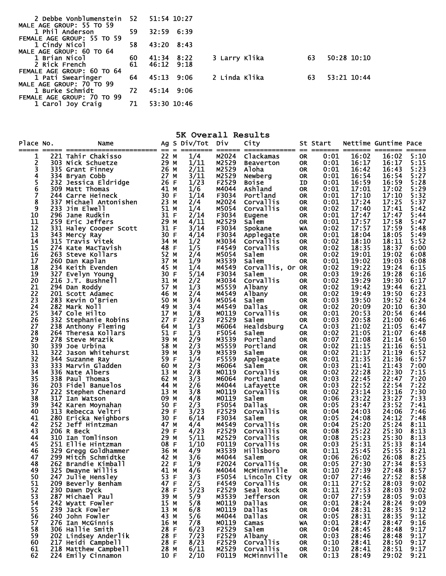| 2 Debbe Vonblumenstein 52  |     | 51:54 10:27 |      |               |    |             |
|----------------------------|-----|-------------|------|---------------|----|-------------|
| MALE AGE GROUP: 55 TO 59   |     |             |      |               |    |             |
| 1 Phil Anderson            | 59  | 32:59 6:39  |      |               |    |             |
| FEMALE AGE GROUP: 55 TO 59 |     |             |      |               |    |             |
| 1 Cindy Nicol              | 58  | 43:20       | 8:43 |               |    |             |
| MALE AGE GROUP: 60 TO 64   |     |             |      |               |    |             |
| 1 Brian Nicol              | 60  | 41:34       | 8:22 | 3 Larry Klika | 63 | 50:28 10:10 |
| 2 Rick French              | 61  | 46:12       | 9:18 |               |    |             |
| FEMALE AGE GROUP: 60 TO 64 |     |             |      |               |    |             |
| 1 Pati Swearinger          | 64  | 45:13       | 9:06 | 2 Linda Klika | 63 | 53:21 10:44 |
| MALE AGE GROUP: 70 TO 99   |     |             |      |               |    |             |
| 1 Burke Schmidt            | 72. | 45:14 9:06  |      |               |    |             |
| FEMALE AGE GROUP: 70 TO 99 |     |             |      |               |    |             |
| 1 Carol Joy Craig          | 71  | 53:30 10:46 |      |               |    |             |

| 5K Overall Results |            |                                        |              |  |                  |                 |                              |                        |              |                  |                      |              |
|--------------------|------------|----------------------------------------|--------------|--|------------------|-----------------|------------------------------|------------------------|--------------|------------------|----------------------|--------------|
| Place No.          |            | Name                                   |              |  | Ag S Div/Tot Div |                 | City                         |                        | St Start     |                  | Nettime Guntime Pace |              |
| =====              |            | 221 Tahir Chakisso                     | 22 M         |  | ========<br>1/4  | ======<br>M2024 | ============= =<br>Clackamas |                        | 0:01         | =======<br>16:02 | 16:02                | 5:10         |
| ı<br>2             |            | 303 Nick Schuetze                      | 29 M         |  | 1/11             | M2529           | <b>Beaverton</b>             | <b>OR</b><br><b>OR</b> | 0:01         | 16:17            | 16:17                | 5:15         |
| 3                  |            | 335 Grant Finney                       | 26 M         |  | 2/11             | M2529           | Aloha                        | <b>OR</b>              | 0:01         | 16:42            | 16:43                | 5:23         |
| 4                  |            | 334 Bryan Cobb                         | 27 M         |  | 3/11             | M2529           | Newberg                      | <b>OR</b>              | 0:01         | 16:54            | 16:54                | 5:27         |
| 5                  |            | 232 Jessica Eldridge                   | 26 F         |  | 1/23             | F2529           | <b>Boise</b>                 | ID                     | 0:01         | 16:59            | 16:59                | 5:28         |
| 6                  |            | 309 Matt Thomas                        | 41 M         |  | 1/6              | M4044           | Ashland                      | <b>OR</b>              | 0:01         | 17:01            | 17:02                | 5:29         |
| 7<br>8             |            | 244 Carre Heineck                      | 30 F         |  | 1/14             | F3034           | Portland                     | <b>OR</b>              | 0:01         | 17:10            | 17:10                | 5:32         |
| 9                  | 337<br>233 | Michael Antonishen<br>Jim Elwell       | 23 M<br>51 M |  | 2/4<br>1/4       | M2024<br>M5054  | Corvallis<br>Corvallis       | <b>OR</b><br><b>OR</b> | 0:01<br>0:02 | 17:24<br>17:40   | 17:25<br>17:41       | 5:37<br>5:42 |
| 10                 |            | 296 Jane Rudkin                        | 31 F         |  | 2/14             | F3034           | Eugene                       | <b>OR</b>              | 0:01         | 17:47            | 17:47                | 5:44         |
| 11                 |            | 259 Eric Jeffers                       | 29 M         |  | 4/11             | M2529           | Salem                        | <b>OR</b>              | 0:01         | 17:57            | 17:58                | 5:47         |
| 12                 |            | 331 Haley Cooper Scott                 | 31 F         |  | 3/14             | F3034           | Spokane                      | WA                     | 0:02         | 17:57            | 17:59                | 5:48         |
| 13                 |            | 343 Mercy Ray                          | 30 F         |  | 4/14             | F3034           | Applegate                    | <b>OR</b>              | 0:01         | 18:04            | 18:05                | 5:49         |
| 14                 |            | 315 Travis Vitek                       | 34 M         |  | 1/2              | M3034           | Corvallis                    | <b>OR</b>              | 0:02         | 18:10            | 18:11                | 5:52         |
| 15<br>16           |            | 274 Kate MacTavish                     | 48 F<br>52 M |  | 1/5<br>2/4       | F4549<br>M5054  | Corvallis<br>Salem           | <b>OR</b>              | 0:02<br>0:02 | 18:35<br>19:01   | 18:37<br>19:02       | 6:00<br>6:08 |
| 17                 |            | 263 Steve Kollars<br>260 Dan Kaplan    | 37 M         |  | 1/9              | M3539           | Salem                        | <b>OR</b><br><b>OR</b> | 0:01         | 19:02            | 19:03                | 6:08         |
| 18                 |            | 234 Keith Evenden                      | 45 M         |  | 1/4              | M4549           | Corvallis, Or OR             |                        | 0:02         | 19:22            | 19:24                | 6:15         |
| 19                 |            | 327 Evelyn Young                       | 30 F         |  | 5/14             | F3034           | Salem                        | <b>OR</b>              | 0:03         | 19:26            | 19:28                | 6:16         |
| 20                 |            | 216 J.T. Bushnell                      | 31 M         |  | 2/2              | M3034           | Corvallis                    | <b>OR</b>              | 0:02         | 19:29            | 19:30                | 6:17         |
| 21                 |            | 294 Dan Roddy                          | 57 M         |  | 1/3              | M5559           | Albany                       | <b>OR</b>              | 0:02         | 19:42            | 19:44                | 6:21         |
| 22                 |            | 201 Scott Adamec                       | 46 M         |  | 2/4              | M4549           | Albany                       | <b>OR</b>              | 0:02         | 19:49            | 19:50                | 6:23         |
| 23                 |            | 283 Kevin O'Brien                      | 50 M         |  | 3/4              | M5054           | Salem                        | <b>OR</b>              | 0:03         | 19:50            | 19:52                | 6:24         |
| 24<br>25           |            | 282 Mark Noll<br>347 Cole Hilto        | 49 M<br>17 M |  | 3/4<br>1/8       | M4549<br>M0119  | Dallas<br>Corvallis          | <b>OR</b><br><b>OR</b> | 0:02<br>0:01 | 20:09<br>20:53   | 20:10<br>20:54       | 6:30<br>6:44 |
| 26                 |            | 332 Stephanie Robins                   | 27 F         |  | 2/23             | F2529           | Salem                        | <b>OR</b>              | 0:03         | 20:58            | 21:00                | 6:46         |
| 27                 |            | 238 Anthony Fleming                    | 64 M         |  | 1/3              | M6064           | Healdsburg                   | CA                     | 0:03         | 21:02            | 21:05                | 6:47         |
| 28                 |            | 264 Theresa Kollars                    | 51 F         |  | 1/3              | F5054           | Salem                        | <b>OR</b>              | 0:02         | 21:05            | 21:07                | 6:48         |
| 29                 |            | 278 Steve Mrazik                       | 39 M         |  | 2/9              | M3539           | Portland                     | <b>OR</b>              | 0:07         | 21:08            | 21:14                | 6:50         |
| 30                 | 339        | Joe Urbina                             | 58 M         |  | 2/3              | M5559           | Portland                     | <b>OR</b>              | 0:02         | 21:15            | 21:16                | 6:51         |
| 31                 | 322.       | Jason Whitehurst                       | 39 M         |  | 3/9              | M3539           | Salem                        | <b>OR</b>              | 0:02         | 21:17            | 21:19                | 6:52         |
| 32                 | 344.       | Suzanne Ray                            | 59 F         |  | 1/4              | F5559           | Applegate                    | <b>OR</b>              | 0:01         | 21:35            | 21:36                | 6:57         |
| 33<br>34           |            | 333 Marvin Gladden<br>336 Nate Albers  | 60 M<br>13 M |  | 2/3<br>2/8       | M6064<br>M0119  | Salem<br>Corvallis           | <b>OR</b><br><b>OR</b> | 0:03<br>0:02 | 21:41<br>22:28   | 21:43<br>22:30       | 7:00<br>7:15 |
| 35                 |            | 338 Paul Thomas                        | 62 M         |  | 3/3              | M6064           | Portland                     | <b>OR</b>              | 0:03         | 22:45            | 22:47                | 7:20         |
| 36                 |            | 203 Fidel Banuelos                     | 44 M         |  | 2/6              | M4044           | Lafayette                    | <b>OR</b>              | 0:03         | 22:52            | 22:54                | 7:22         |
| 37                 | 222        | Stephen Chenard                        | 13 M         |  | 3/8              | M0119           | Corvallis                    | <b>OR</b>              | 0:02         | 23:14            | 23:16                | 7:30         |
| 38                 | 317        | Ian Watson                             | 09 M         |  | 4/8              | M0119           | Salem                        | <b>OR</b>              | 0:06         | 23:22            | 23:27                | 7:33         |
| 39                 |            | 342 Karen Moynahan                     | 50 F         |  | 2/3              | F5054           | Dallas                       | <b>OR</b>              | 0:05         | 23:47            | 23:52                | 7:41         |
| 40                 |            | 313 Rebecca Veltri                     | 29 F         |  | 3/23             | F2529           | Corvallis                    | <b>OR</b>              | 0:04         | 24:03            | 24:06                | 7:46         |
| 41<br>42           | 280        | Ericka Neighbors<br>252 Jeff Hintzman  | 30 F<br>47 M |  | 6/14<br>4/4      | F3034<br>M4549  | Salem<br>Corvallis           | <b>OR</b><br><b>OR</b> | 0:05<br>0:04 | 24:08<br>25:20   | 24:12<br>25:24       | 7:48<br>8:11 |
| 43                 |            | 206 R Beck                             | 29 F         |  | 4/23             | F2529           | Corvallis                    | <b>OR</b>              | 0:08         | 25:22            | 25:30                | 8:13         |
| 44                 | 310        | Ian Tomlinson                          | 29 M         |  | 5/11             | M2529           | Corvallis                    | <b>OR</b>              | 0:08         | 25:23            | 25:30                | 8:13         |
| 45                 | 251.       | Ellie Hintzman                         | 08 F         |  | 1/10             | F0119           | Corvallis                    | <b>OR</b>              | 0:03         | 25:31            | 25:33                | 8:14         |
| 46                 | 329        | Gregg Goldhammer                       | 36 M         |  | 4/9              | M3539           | <b>Hillsboro</b>             | <b>OR</b>              | 0:11         | 25:45            | 25:55                | 8:21         |
| 47                 |            | 299 Mitch Schmidtke                    | 42 M         |  | 3/6              | M4044           | Salem                        | <b>OR</b>              | 0:06         | 26:02            | 26:08                | 8:25         |
| 48                 |            | 262 Brandie Kimball                    | 22 F         |  | 1/9              | F2024           | Corvallis                    | <b>OR</b>              | 0:05         | 27:30            | 27:34                | 8:53         |
| 49<br>50           |            | 325 Dwayne Willis<br>247 Julie_Hensley | 41 M<br>53 F |  | 4/6<br>3/3       | M4044<br>F5054  | MCMinnville<br>Lincoln City  | OR.<br><b>OR</b>       | 0:10<br>0:07 | 27:39<br>27:46   | 27:48<br>27:52       | 8:57<br>8:58 |
| 51                 |            | 209 Beverly Benham                     | 47 F         |  | 2/5              | F4549           | Corvallis                    | <b>OR</b>              | 0:11         | 27:52            | 28:03                | 9:02         |
| 52                 |            | 230 Dawn Dyck                          | 28 F         |  | 5/23             | F2529           | Seal Rock                    | OR.                    | 0:11         | 27:53            | 28:03                | 9:02         |
| 53                 |            | 287 Michael Paul                       | 39 M         |  | 5/9              | M3539           | Jefferson                    | <b>OR</b>              | 0:07         | 27:59            | 28:05                | 9:03         |
| 54                 |            | 242 Wyatt Fowler                       | 15 M         |  | 5/8              | M0119           | Dallas                       | <b>OR</b>              | 0:01         | 28:24            | 28:24                | 9:09         |
| 55                 |            | 239 Jack Fowler                        | 13 M         |  | 6/8              | M0119           | Dallas                       | <b>OR</b>              | 0:04         | 28:31            | 28:35                | 9:12         |
| 56                 |            | 240 John Fowler                        | 43 M         |  | 5/6              | M4044           | <b>Dallas</b>                | <b>OR</b>              | 0:05         | 28:31            | 28:35                | 9:12         |
| 57<br>58           |            | 276 Ian McGinnis<br>306 Hallie Smith   | 16 M<br>28 F |  | 7/8<br>6/23      | M0119<br>F2529  | Camas<br>Salem               | WA<br><b>OR</b>        | 0:01<br>0:04 | 28:47<br>28:45   | 28:47<br>28:48       | 9:16<br>9:17 |
| 59                 |            | 202 Lindsey Anderlik                   | 28 F         |  | 7/23             | F2529           | Albany                       | <b>OR</b>              | 0:03         | 28:46            | 28:48                | 9:17         |
| 60                 |            | 217 Heidi Campbell                     | 28 F         |  | 8/23             | F2529           | Corvallis                    | <b>OR</b>              | 0:10         | 28:41            | 28:50                | 9:17         |
| 61                 |            | 218 Matthew Campbell                   | 28 M         |  | 6/11             | M2529           | Corvallis                    | <b>OR</b>              | 0:10         | 28:41            | 28:51                | 9:17         |
| 62                 |            | 224 Emily Cinnamon                     | 10 F         |  | 2/10             | F0119           | McMinnville                  | <b>OR</b>              | 0:13         | 28:49            | 29:02                | 9:21         |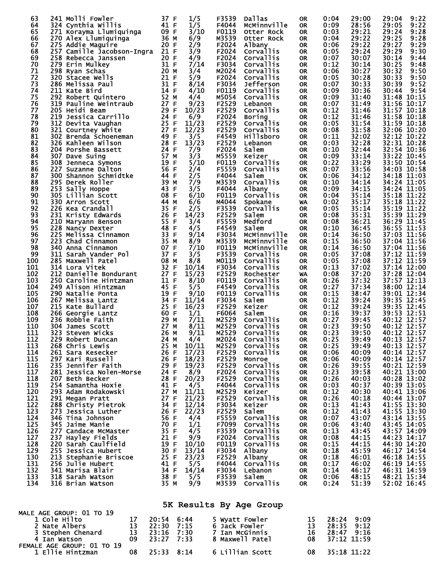| 63<br>64   | 241 Molli Fowler<br>324 Cynthia Willis           | 37 F<br>41 F          | 1/5<br>1/5     | F3539<br>F4044 | Dallas<br>McMinnville         | <b>OR</b><br>0R. | 0:04<br>0:09 | 29:00<br>28:56           | 29:04<br>9:22<br>9:22<br>29:05 |
|------------|--------------------------------------------------|-----------------------|----------------|----------------|-------------------------------|------------------|--------------|--------------------------|--------------------------------|
| 65         | 271 Korayma Llumiquinga                          | 09 F                  | 3/10           | F0119          | Otter Rock                    | <b>OR</b>        | 0:03         | 29:21                    | 29:24<br>9:28                  |
| 66<br>67   | 270 Alex Llumiquinga<br>275 Addie Maguire        | 36 M<br>20 F          | 6/9<br>2/9     | M3539<br>F2024 | Otter Rock<br>Albany          | 0R<br><b>OR</b>  | 0:04<br>0:06 | 29:22<br>29:22           | 9:28<br>29:25<br>29:27<br>9:29 |
| 68         | 257 Camille Jacobson-Ingra                       | 21 F                  | 3/9<br>4/9     | F2024          | Corvallis                     | <b>OR</b>        | 0:05         | 29:24<br>30:07           | 29:29<br>9:30                  |
| 69<br>70   | 258 Rebecca Janssen<br>279 Erin Mulkey           | 20 F<br>31 F          | 7/14           | F2024<br>F3034 | Corvallis<br>Corvallis        | <b>OR</b><br>0R  | 0:07<br>0:12 | 30:14                    | 30:14<br>9:44<br>30:25<br>9:48 |
| 71         | 298 Ryan Schas                                   | 20 M                  | 3/4            | M2024          | Corvallis                     | <b>OR</b>        | 0:06         | 30:27                    | 30:32<br>9:50                  |
| 72<br>73   | 320 Stacee Wells<br>286 Melissa Paul             | 21 F<br>31 F          | 5/9<br>8/14    | F2024<br>F3034 | Corvallis<br>Jefferson        | 0R<br><b>OR</b>  | 0:05<br>0:07 | 30:28<br>30:33           | 30:33<br>9:50<br>9:52<br>30:39 |
| 74         | 211 Kate Bird                                    | 14 F                  | 4/10           | F0119          | Corvallis                     | 0R               | 0:09         | 30:36                    | 9:54<br>30:44                  |
| 75<br>76   | 292 Robert Quintero<br>319 Pauline Weintraub     | 52 M<br>27 F          | 4/4<br>9/23    | M5054<br>F2529 | Corvallis<br>Lebanon          | <b>OR</b><br>0R  | 0:09<br>0:07 | 31:40<br>31:49           | 31:48 10:15<br>31:56 10:17     |
| 77         | 205 Heidi Beam                                   | 29 F                  | 10/23          | F2529          | Corvallis                     | <b>OR</b>        | 0:12         | 31:46                    | 31:57 10:18                    |
| 78<br>79   | 219 Jessica Carrillo<br>312 Devita Vaughan       | 24 F<br>25 F          | 6/9<br>11/23   | F2024<br>F2529 | <b>Boring</b><br>Corvallis    | 0R<br><b>OR</b>  | 0:12<br>0:05 | 31:46<br>31:54           | 31:58 10:18<br>31:59 10:18     |
| 80         | 321 Courtney White                               | 27 F                  | 12/23          | F2529          | Corvallis                     | 0R               | 0:08         | 31:58                    | 32:06 10:20                    |
| 81<br>82   | 302 Brenda Schoeneman<br>326 Kahleen Wilson      | 49 F<br>28 F          | 3/5<br>13/23   | F4549<br>F2529 | Hillsboro<br>Lebanon          | <b>OR</b><br>0R  | 0:11<br>0:03 | 32:02<br>32:28           | 32:12 10:22<br>32:31 10:28     |
| 83         | 204 Porshe Bassett                               | 24 F                  | 7/9            | F2024          | Salem                         | <b>OR</b>        | 0:10         | 32:44                    | 32:54 10:36                    |
| 84<br>85   | 307 Dave Suing<br>308 Jenneca Symons             | 57 M<br>19 F          | 3/3<br>5/10    | M5559<br>F0119 | Keizer<br>Corvallis           | 0R<br><b>OR</b>  | 0:09<br>0:22 | 33:14<br>33:29           | 33:22 10:45<br>33:50 10:54     |
| 86         | 227 Suzanne Dalton                               | 56 F                  | 2/4            | F5559          | Corvallis                     | 0R               | 0:07         | 33:56                    | 34:03 10:58                    |
| 87<br>88   | 300 Shannon Schmidtke<br>295 Derek Roller        | 44 F<br>39 M          | 2/5<br>7/9     | F4044<br>M3539 | Salem<br>Corvallis            | OK<br><b>OR</b>  | 0:06<br>0:10 | 34:12<br>34:14           | 34:18 11:03<br>34:24 11:05     |
| 89         | 253 Sally Hoppe                                  | 43 F                  | 3/5            | F4044          | Albany                        | <b>OR</b>        | 0:09         | 34:15                    | 34:24 11:05                    |
| 90<br>91   | 305 Lillian Scott<br>330 Arron Scott             | 08 F<br>44 M          | 6/10<br>6/6    | F0119<br>M4044 | <b>Corvallis</b><br>Spokane   | <b>OR</b><br>WA  | 0:04<br>0:02 | 35:14<br>35:17           | 35:18 11:22<br>35:18 11:22     |
| 92         | 226 Kea Crandall                                 | 35 F                  | 2/5            | F3539          | Corvallis                     | 0R               | 0:05         | 35:14                    | 35:19 11:22                    |
| 93<br>94   | 231 Kristy Edwards<br>210 Maryann Benson         | 26<br>F<br>55 F       | 14/23<br>3/4   | F2529<br>F5559 | Salem<br>Medford              | <b>OR</b><br>0R  | 0:08<br>0:08 | 35:31<br>36:21           | 35:39 11:29<br>36:29 11:45     |
| 95         | 228 Nancy Dexter                                 | 48 F                  | 4/5            | F4549          | Salem                         | <b>OR</b>        | 0:10         | 36:45                    | 36:55 11:53                    |
| 96<br>97   | 225 Melissa Cinnamon<br>223 Chad Cinnamon        | 33 F<br>35 M          | 9/14<br>8/9    | F3034<br>M3539 | MCMinnville<br>MCMinnville    | 0R<br><b>OR</b>  | 0:14<br>0:15 | 36:50<br>36:50           | 37:03 11:56<br>37:04 11:56     |
| 98         | 340 Anna Cinnamon                                | 07 F                  | 7/10           | F0119          | MCMinnville                   | 0R               | 0:14         | 36:50                    | 37:04 11:56                    |
| 99<br>100  | 311 Sarah Vander Pol<br>285 Maxwell Patel        | 37 F<br>08 M          | 3/5<br>8/8     | F3539<br>M0119 | <b>Corvallis</b><br>Corvallis | <b>OR</b><br>0R  | 0:05<br>0:05 | 37:08<br>37:08           | 37:12 11:59<br>37:12 11:59     |
| 101        | 314 Lora Vitek                                   | 32 F                  | 10/14          | F3034          | Corvallis                     | <b>OR</b>        | 0:13         | 37:02                    | 37:14 12:00                    |
| 102<br>103 | 212 Danielle Bondurant<br>250 Caroline Hintzman  | 27 F<br>11 F          | 15/23<br>8/10  | F2529<br>F0119 | Rochester<br>Corvallis        | WA<br>0R         | 0:08<br>0:26 | 37:20<br>37:32           | 37:28 12:04<br>37:57 12:13     |
| 104        | 249 Alison Hintzman                              | 45 F                  | 5/5            | F4549          | Corvallis                     | 0R               | 0:27         | 37:34                    | 38:00 12:14                    |
| 105<br>106 | 290 Natalie Ponta<br>267 Melissa Lantz           | 19 F<br>34 F          | 9/10<br>11/14  | F0119<br>F3034 | Corvallis<br>Salem            | <b>OR</b><br>0R  | 0:15<br>0:12 | 38:47<br>39:24           | 39:01 12:34<br>39:35 12:45     |
| 107        | 215 Kate Bullard                                 | 25 F                  | 16/23          | F2529          | Keizer                        | <b>OR</b>        | 0:12         | 39:24                    | 39:35 12:45                    |
| 108<br>109 | 266 Georgie Lantz<br>236 Robbie Faith            | 60 F<br>29 M          | 1/1<br>7/11    | F6064<br>M2529 | Salem<br>Corvallis            | 0R<br><b>OR</b>  | 0:16<br>0:27 | 39:37<br>39:45           | 39:53 12:51<br>40:12 12:57     |
| 110        | 304 James Scott                                  | 27 M                  | 8/11           | M2529          | Corvallis                     | 0R               | 0:23         | 39:50                    | 40:12 12:57                    |
| 111<br>112 | 323 Steven Wicks<br>229 Robert Duncan            | 26 M<br>24 M          | 9/11<br>4/4    | M2529<br>M2024 | Corvallis<br>Corvallis        | <b>OR</b><br>0R  | 0:23<br>0:25 | 39:50<br>39:49           | 40:12 12:57<br>40:13 12:57     |
| 113        | 268 Chris Lewis                                  | 25 M                  | 10/11          | M2529          | Corvallis                     | 0R               | 0:25         | 39:49                    | 40:13 12:57                    |
| 114<br>115 | 261 Sara Kesecker<br>297 Kari Russell            | 26 F<br>26 F          | 17/23<br>18/23 | F2529<br>F2529 | Corvallis<br>Monroe           | OR.<br>0R        | 0:06<br>0:06 | 40:09<br>40:09           | 40:14 12:57<br>40:14 12:57     |
| 116        | 235 Jennifer Faith                               | 29 F                  | 19/23          | F2529          | Corvallis                     | <b>OR</b>        | 0:26         | 39:55                    | 40:21 12:59                    |
| 117<br>118 | 281 Jessica Nolen-Morse<br>207 Beth Becker       | 24 F<br>28 F          | 8/9<br>20/23   | F2024<br>F2529 | Corvallis<br>Corvallis        | 0R<br>0R         | 0:23<br>0:26 | 39:58<br>40:03           | 40:21 13:00<br>40:28 13:02     |
| 119        | 254 Samantha Hoxie                               | 41 F                  | 4/5            | F4044          | Corvallis                     | 0R               | 0:03         | 40:37                    | 40:39 13:05                    |
| 120<br>121 | 293 Adam Rodakowski<br>291 Megan Pratt           | 27 M<br>27 F          | 11/11<br>21/23 | M2529<br>F2529 | Keizer<br>Corvallis           | 0R<br>0R         | 0:12<br>0:26 | 40:30<br>40:18           | 40:41 13:06<br>40:44 13:07     |
| 122        | 288 Christy Pietrok                              | 34 F                  | 12/14          | F3034          | Keizer                        | 0R               | 0:13         | 41:43                    | 41:55 13:30                    |
| 123<br>124 | 273 Jessica Luther<br>346 Tina Johnson           | 26 F<br>56 F          | 22/23<br>4/4   | F2529<br>F5559 | Salem<br>Corvallis            | 0R<br><b>OR</b>  | 0:12<br>0:07 | 41:43<br>43:07           | 41:55 13:30<br>43:14 13:55     |
| 125        | 345 Jaime Manie                                  | 70 F                  | 1/1            | F7099          | Corvallis                     | 0R               | 0:06         | 43:40                    | 43:45 14:05                    |
| 126<br>127 | 277 Candace McMaster<br>237 Hayley Fields        | 35 F<br>21 F          | 4/5<br>9/9     | F3539<br>F2024 | Corvallis<br><b>Corvallis</b> | 0R<br>0R         | 0:13<br>0:08 | 43:45<br>44:15           | 43:57 14:09<br>44:23 14:17     |
| 128        | 220 Sarah Caulfield                              | 19 F                  | 10/10          | F0119          | Corvallis                     | 0R               | 0:15         | 44:15                    | 44:30 14:20                    |
| 129<br>130 | 255 Jessica Hubert<br>213 Stephanie Briscoe      | 30 F<br>25 F          | 13/14<br>23/23 | F3034<br>F2529 | Albany<br>Albany              | 0R<br>0R         | 0:18<br>0:18 | 45:59<br>46:01           | 46:17 14:54<br>46:18 14:55     |
| 131        | 256 Julie Hubert                                 | 41 F                  | 5/5            | F4044          | Corvallis                     | 0R               | 0:17         | 46:02                    | 46:19 14:55                    |
| 132<br>133 | 341 Marisa Blair<br>318 Sarah Watson             | 34 F<br>38 F          | 14/14<br>5/5   | F3034<br>F3539 | Lebanon<br>Salem              | 0R<br>0R         | 0:14<br>0:06 | 46:17<br>48:15           | 46:31 14:59<br>48:21 15:34     |
| 134        | 316 Brian Watson                                 | 35 M                  | 9/9            | M3539          | Corvallis                     | <b>OR</b>        | 0:24         | 51:39                    | 52:02 16:45                    |
|            |                                                  |                       |                |                |                               |                  |              |                          |                                |
|            | <b>MALE AGE GROUP: 01 TO 19</b>                  |                       |                |                | 5K Results By Age Group       |                  |              |                          |                                |
|            | 17<br>1 Cole Hilto<br>13<br>2 Nate Albers        | $20:54$ 6:44<br>22:30 | 7:15           | 6 Jack Fowler  | 5 Wyatt Fowler                | 15<br>13         |              | 28:24 9:09<br>28:35 9:12 |                                |
|            | 13<br>3 Stephen Chenard                          | 23:16                 | 7:30           |                | 7 Ian McGinnis                | 16               |              | 28:47 9:16               |                                |
|            | 4 Ian Watson<br>09<br>FEMALE AGE GROUP: 01 TO 19 | 23:27                 | 7:33           |                | 8 Maxwell Patel               | 08               |              | 37:12 11:59              |                                |
|            | 08<br>1 Ellie Hintzman                           | 25:33                 | 8:14           |                | 6 Lillian Scott               | 08               |              | 35:18 11:22              |                                |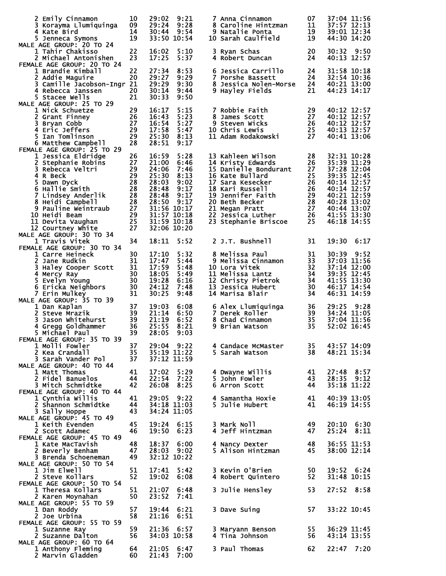| 2 Emily Cinnamon<br>3 Korayma Llumiquinga<br>4 Kate Bird<br>5 Jenneca Symons<br>MALE AGE GROUP: 20 TO 24                                                                                                                                                            | 10<br>09<br>14<br>19                                                 | 29:02<br>29:24<br>30:44                                                                                           | 9:21<br>9:28<br>9:54<br>33:50 10:54                                         | 7 Anna Cinnamon<br>8 Caroline Hintzman<br>9 Natalie Ponta<br>10 Sarah Caulfield                                                                                                                                                 | 07<br>11<br>19<br>19                                           | 37:04 11:56<br>37:57 12:13<br>39:01 12:34<br>44:30 14:20                                                                                                          |
|---------------------------------------------------------------------------------------------------------------------------------------------------------------------------------------------------------------------------------------------------------------------|----------------------------------------------------------------------|-------------------------------------------------------------------------------------------------------------------|-----------------------------------------------------------------------------|---------------------------------------------------------------------------------------------------------------------------------------------------------------------------------------------------------------------------------|----------------------------------------------------------------|-------------------------------------------------------------------------------------------------------------------------------------------------------------------|
| 1 Tahir Chakisso<br>2 Michael Antonishen<br>FEMALE AGE GROUP: 20 TO 24                                                                                                                                                                                              | 22<br>23                                                             | 16:02<br>17:25                                                                                                    | 5:10<br>5:37                                                                | 3 Ryan Schas<br>4 Robert Duncan                                                                                                                                                                                                 | 20<br>24                                                       | 30:32 9:50<br>40:13 12:57                                                                                                                                         |
| 1 Brandie Kimball<br>2 Addie Maguire<br>3 Camille Jacobson-Ingr 21<br>4 Rebecca Janssen<br>5 Stacee Wells<br>MALE AGE GROUP: 25 TO 29                                                                                                                               | 22<br>20<br>20<br>21                                                 | 27:34<br>29:27<br>29:29<br>30:14<br>30:33                                                                         | 8:53<br>9:29<br>9:30<br>9:44<br>9:50                                        | 6 Jessica Carrillo<br>7 Porshe Bassett<br>8 Jessica Nolen-Morse<br>9 Hayley Fields                                                                                                                                              | 24<br>24<br>24<br>21                                           | 31:58 10:18<br>32:54 10:36<br>40:21 13:00<br>44:23 14:17                                                                                                          |
| 1 Nick Schuetze<br>2 Grant Finney<br>3 Bryan Cobb<br>4 Eric Jeffers<br>5 Ian Tomlinson<br>6 Matthew Campbell                                                                                                                                                        | 29<br>26<br>27<br>29<br>29<br>28                                     | 16:17<br>16:43<br>16:54<br>17:58<br>25:30<br>28:51                                                                | 5:15<br>5:23<br>5:27<br>5:47<br>8:13<br>9:17                                | 7 Robbie Faith<br>8 James Scott<br>9 Steven Wicks<br><b>10 Chris Lewis</b><br>11 Adam Rodakowski                                                                                                                                | 29<br>27<br>26<br>25<br>27                                     | 40:12 12:57<br>40:12 12:57<br>40:12 12:57<br>40:13 12:57<br>40:41 13:06                                                                                           |
| FEMALE AGE GROUP: 25 TO 29<br>1 Jessica Eldridge<br>2 Stephanie Robins<br>3 Rebecca Veltri<br>4 R Beck<br>5 Dawn Dyck<br>6 Hallie Smith<br>7 Lindsey Anderlik<br>8 Heidi Campbell<br>9 Pauline Weintraub<br>10 Heidi Beam<br>11 Devita Vaughan<br>12 Courtney White | 26<br>27<br>29<br>29<br>28<br>28<br>28<br>28<br>27<br>29<br>25<br>27 | 16:59<br>21:00<br>24:06<br>25:30<br>28:03<br>28:48<br>28:48<br>28:50<br>31:56 10:17<br>31:57 10:18<br>31:59 10:18 | 5:28<br>6:46<br>7:46<br>8:13<br>9:02<br>9:17<br>9:17<br>9:17<br>32:06 10:20 | 13 Kahleen Wilson<br>14 Kristy Edwards<br>15 Danielle Bondurant<br>16 Kate Bullard<br>17 Sara Kesecker<br>18 Kari Russell<br>19 Jennifer Faith<br>20 Beth Becker<br>21 Megan Pratt<br>22 Jessica Luther<br>23 Stephanie Briscoe | 28<br>26<br>27<br>25<br>26<br>26<br>29<br>28<br>27<br>26<br>25 | 32:31 10:28<br>35:39 11:29<br>37:28 12:04<br>39:35 12:45<br>40:14 12:57<br>40:14 12:57<br>40:21 12:59<br>40:28 13:02<br>40:44 13:07<br>41:55 13:30<br>46:18 14:55 |
| MALE AGE GROUP: 30 TO 34<br>1 Travis Vitek                                                                                                                                                                                                                          | 34                                                                   | 18:11                                                                                                             | 5:52                                                                        | 2 J.T. Bushnell                                                                                                                                                                                                                 | 31                                                             | 19:30<br>6:17                                                                                                                                                     |
| FEMALE AGE GROUP: 30 TO 34<br>1 Carre Heineck<br><b>2 Jane Rudkin</b><br>3 Haley Cooper Scott<br>4 Mercy Ray<br>5 Evelyn Young<br>6 Ericka Neighbors<br>7 Erin Mulkey                                                                                               | 30<br>31<br>31<br>30<br>30<br>30<br>31                               | 17:10<br>17:47<br>17:59<br>18:05<br>19:28<br>24:12<br>30:25                                                       | 5:32<br>5:44<br>5:48<br>5:49<br>6:16<br>7:48<br>9:48                        | 8 Melissa Paul<br>9 Melissa Cinnamon<br>10 Lora Vitek<br>11 Melissa Lantz<br>12 Christy Pietrok<br>13 Jessica Hubert<br>14 Marisa Blair                                                                                         | 31<br>33<br>32<br>34<br>34<br>30<br>34                         | 30:39<br>9:52<br>37:03 11:56<br>37:14 12:00<br>39:35 12:45<br>41:55 13:30<br>46:17 14:54<br>46:31 14:59                                                           |
| MALE AGE GROUP: 35 TO 39<br>1 Dan Kaplan<br>2 Steve Mrazik<br>3 Jason Whitehurst<br>4 Gregg Goldhammer<br>5 Michael Paul<br>FEMALE AGE GROUP: 35 TO 39                                                                                                              | 37<br>39<br>39<br>36<br>39                                           | 19:03<br>21:14<br>21:19<br>25:55<br>28:05                                                                         | 6:08<br>6:50<br>6:52<br>8:21<br>9:03                                        | 6 Alex Llumiquinga<br>7 Derek Roller<br>8 Chad Cinnamon<br>9 Brian Watson                                                                                                                                                       | 36<br>39<br>35<br>35                                           | 29:25<br>9:28<br>34:24 11:05<br>37:04 11:56<br>52:02 16:45                                                                                                        |
| 1 Molli Fowler<br>2 Kea Crandall<br>3 Sarah Vander Pol<br>MALE AGE GROUP: 40 TO 44                                                                                                                                                                                  | 37<br>35<br>37                                                       | 29:04 9:22<br>35:19 11:22                                                                                         | 37:12 11:59                                                                 | 4 Candace McMaster<br>5 Sarah Watson                                                                                                                                                                                            | 35<br>38                                                       | 43:57 14:09<br>48:21 15:34                                                                                                                                        |
| 1 Matt Thomas<br>2 Fidel Banuelos<br>3 Mitch Schmidtke<br>FEMALE AGE GROUP: 40 TO 44                                                                                                                                                                                | 41<br>44<br>42                                                       | 17:02<br>22:54<br>26:08                                                                                           | 5:29<br>7:22<br>8:25                                                        | 4 Dwayne Willis<br>5 John Fowler<br>6 Arron Scott                                                                                                                                                                               | 41<br>43<br>44                                                 | 27:48 8:57<br>28:35 9:12<br>35:18 11:22                                                                                                                           |
| 1 Cynthia Willis<br>2 Shannon Schmidtke<br>3 Sally Hoppe<br>MALE AGE GROUP: 45 TO 49                                                                                                                                                                                | 41<br>44<br>43                                                       | 29:05 9:22<br>34:24 11:05                                                                                         | 34:18 11:03                                                                 | 4 Samantha Hoxie<br>5 Julie Hubert                                                                                                                                                                                              | 41<br>41                                                       | 40:39 13:05<br>46:19 14:55                                                                                                                                        |
| 1 Keith Evenden<br>2 Scott Adamec                                                                                                                                                                                                                                   | 45<br>46                                                             | 19:24<br>19:50                                                                                                    | 6:15<br>6:23                                                                | 3 Mark Noll<br>4 Jeff Hintzman                                                                                                                                                                                                  | 49<br>47                                                       | $20:10$ 6:30<br>25:24<br>8:11                                                                                                                                     |
| FEMALE AGE GROUP: 45 TO 49<br>1 Kate MacTavish<br>2 Beverly Benham<br>3 Brenda Schoeneman<br>MALE AGE GROUP: 50 TO 54                                                                                                                                               | 48<br>47<br>49                                                       | 18:37<br>28:03<br>32:12 10:22                                                                                     | 6:00<br>9:02                                                                | 4 Nancy Dexter<br>5 Alison Hintzman                                                                                                                                                                                             | 48<br>45                                                       | 36:55 11:53<br>38:00 12:14                                                                                                                                        |
| 1 Jim Elwell<br>2 Steve Kollars                                                                                                                                                                                                                                     | 51<br>52                                                             | 17:41<br>19:02                                                                                                    | 5:42<br>6:08                                                                | 3 Kevin O'Brien<br>4 Robert Quintero                                                                                                                                                                                            | 50<br>52                                                       | 19:52 6:24<br>31:48 10:15                                                                                                                                         |
| FEMALE AGE GROUP: 50 TO 54<br>1 Theresa Kollars<br>2 Karen Moynahan                                                                                                                                                                                                 | 51<br>50                                                             | 21:07<br>23:52                                                                                                    | 6:48<br>7:41                                                                | 3 Julie Hensley                                                                                                                                                                                                                 | 53                                                             | 27:52 8:58                                                                                                                                                        |
| MALE AGE GROUP: 55 TO 59<br>1 Dan Roddy<br>2 Joe Urbina<br>FEMALE AGE GROUP: 55 TO 59                                                                                                                                                                               | 57<br>58                                                             | 19:44<br>21:16                                                                                                    | 6:21<br>6:51                                                                | 3 Dave Suing                                                                                                                                                                                                                    | 57                                                             | 33:22 10:45                                                                                                                                                       |
| 1 Suzanne Ray<br>2 Suzanne Dalton                                                                                                                                                                                                                                   | 59<br>56                                                             | 21:36                                                                                                             | 6:57<br>34:03 10:58                                                         | 3 Maryann Benson<br>4 Tina Johnson                                                                                                                                                                                              | 55<br>56                                                       | 36:29 11:45<br>43:14 13:55                                                                                                                                        |
| MALE AGE GROUP: 60 TO 64<br>1 Anthony Fleming<br>2 Marvin Gladden                                                                                                                                                                                                   | 64<br>60                                                             | 21:43                                                                                                             | 21:05 6:47<br>7:00                                                          | 3 Paul Thomas                                                                                                                                                                                                                   | 62                                                             | 22:47<br>7:20                                                                                                                                                     |